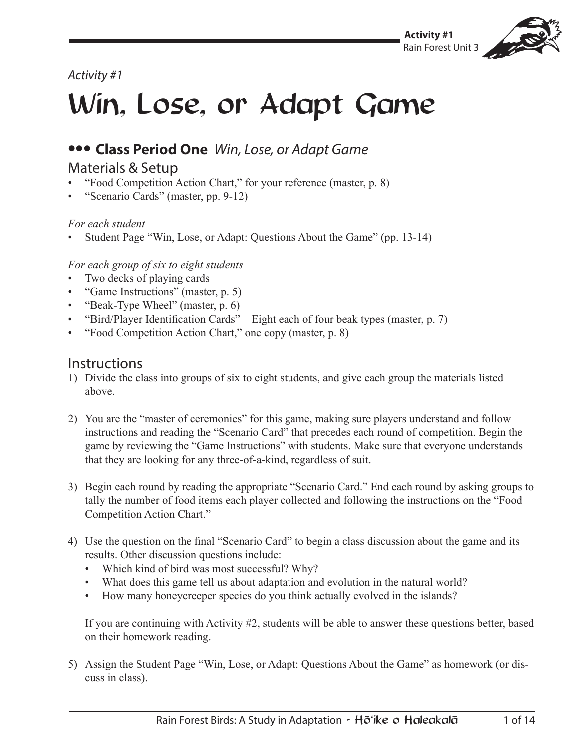

## *Activity #1*

## Win, Lose, or Adapt Game

## **••• Class Period One** *Win, Lose, or Adapt Game*

#### Materials & Setup

- "Food Competition Action Chart," for your reference (master, p. 8)
- "Scenario Cards" (master, pp. 9-12)

#### *For each student*

• Student Page "Win, Lose, or Adapt: Questions About the Game" (pp. 13-14)

#### *For each group of six to eight students*

- Two decks of playing cards
- "Game Instructions" (master, p. 5)
- "Beak-Type Wheel" (master, p. 6)
- "Bird/Player Identification Cards"—Eight each of four beak types (master, p. 7)
- "Food Competition Action Chart," one copy (master, p. 8)

#### Instructions

- 1) Divide the class into groups of six to eight students, and give each group the materials listed above.
- 2) You are the "master of ceremonies" for this game, making sure players understand and follow instructions and reading the "Scenario Card" that precedes each round of competition. Begin the game by reviewing the "Game Instructions" with students. Make sure that everyone understands that they are looking for any three-of-a-kind, regardless of suit.
- 3) Begin each round by reading the appropriate "Scenario Card." End each round by asking groups to tally the number of food items each player collected and following the instructions on the "Food Competition Action Chart."
- 4) Use the question on the final "Scenario Card" to begin a class discussion about the game and its results. Other discussion questions include:
	- Which kind of bird was most successful? Why?
	- What does this game tell us about adaptation and evolution in the natural world?
	- How many honeycreeper species do you think actually evolved in the islands?

If you are continuing with Activity #2, students will be able to answer these questions better, based on their homework reading.

5) Assign the Student Page "Win, Lose, or Adapt: Questions About the Game" as homework (or discuss in class).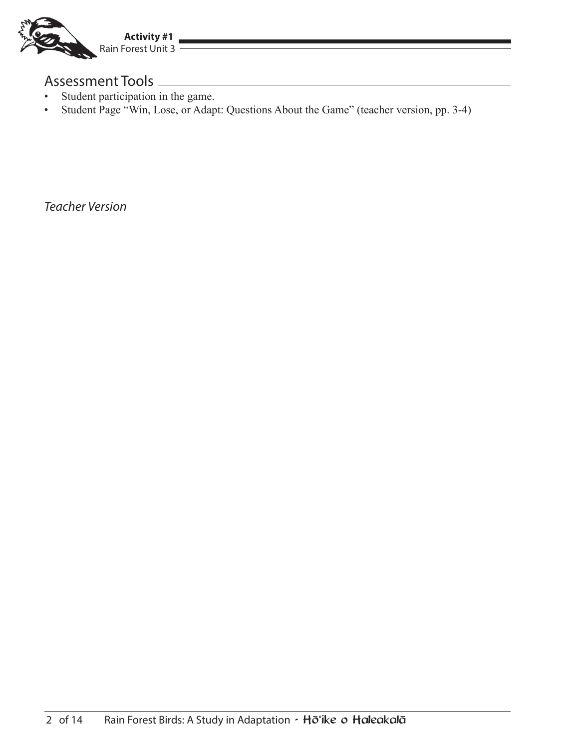

### Assessment Tools

- Student participation in the game.
- Student Page "Win, Lose, or Adapt: Questions About the Game" (teacher version, pp. 3-4)

*Teacher Version*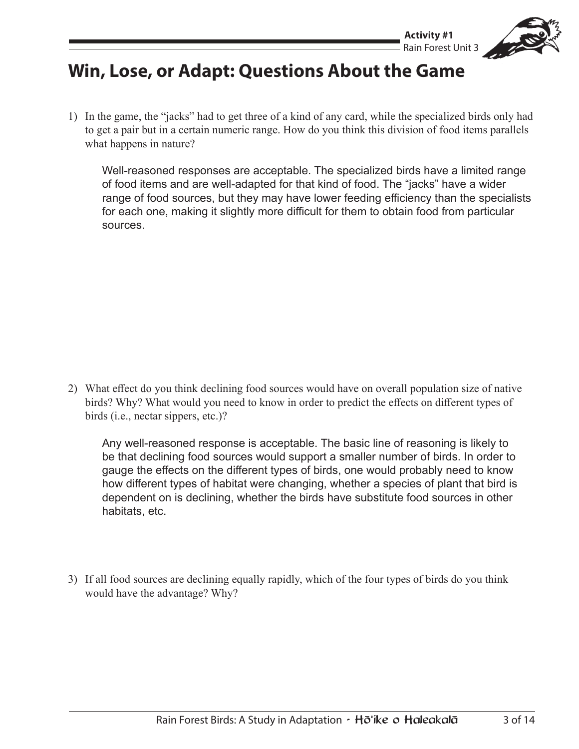

## **Win, Lose, or Adapt: Questions About the Game**

1) In the game, the "jacks" had to get three of a kind of any card, while the specialized birds only had to get a pair but in a certain numeric range. How do you think this division of food items parallels what happens in nature?

Well-reasoned responses are acceptable. The specialized birds have a limited range of food items and are well-adapted for that kind of food. The "jacks" have a wider range of food sources, but they may have lower feeding efficiency than the specialists for each one, making it slightly more difficult for them to obtain food from particular sources.

2) What effect do you think declining food sources would have on overall population size of native birds? Why? What would you need to know in order to predict the effects on different types of birds (i.e., nectar sippers, etc.)?

Any well-reasoned response is acceptable. The basic line of reasoning is likely to be that declining food sources would support a smaller number of birds. In order to gauge the effects on the different types of birds, one would probably need to know how different types of habitat were changing, whether a species of plant that bird is dependent on is declining, whether the birds have substitute food sources in other habitats, etc.

3) If all food sources are declining equally rapidly, which of the four types of birds do you think would have the advantage? Why?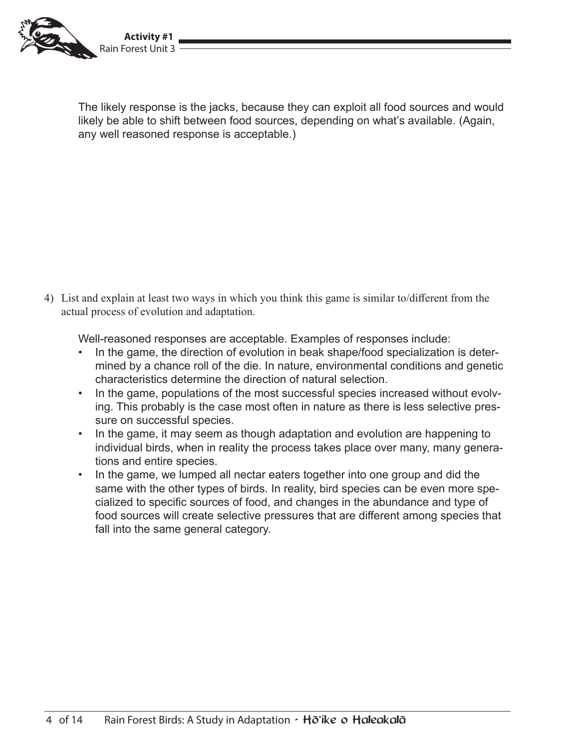

The likely response is the jacks, because they can exploit all food sources and would likely be able to shift between food sources, depending on what's available. (Again, any well reasoned response is acceptable.)

4) List and explain at least two ways in which you think this game is similar to/different from the actual process of evolution and adaptation.

Well-reasoned responses are acceptable. Examples of responses include:

- In the game, the direction of evolution in beak shape/food specialization is determined by a chance roll of the die. In nature, environmental conditions and genetic characteristics determine the direction of natural selection.
- In the game, populations of the most successful species increased without evolving. This probably is the case most often in nature as there is less selective pressure on successful species.
- In the game, it may seem as though adaptation and evolution are happening to individual birds, when in reality the process takes place over many, many generations and entire species.
- In the game, we lumped all nectar eaters together into one group and did the same with the other types of birds. In reality, bird species can be even more specialized to specific sources of food, and changes in the abundance and type of food sources will create selective pressures that are different among species that fall into the same general category.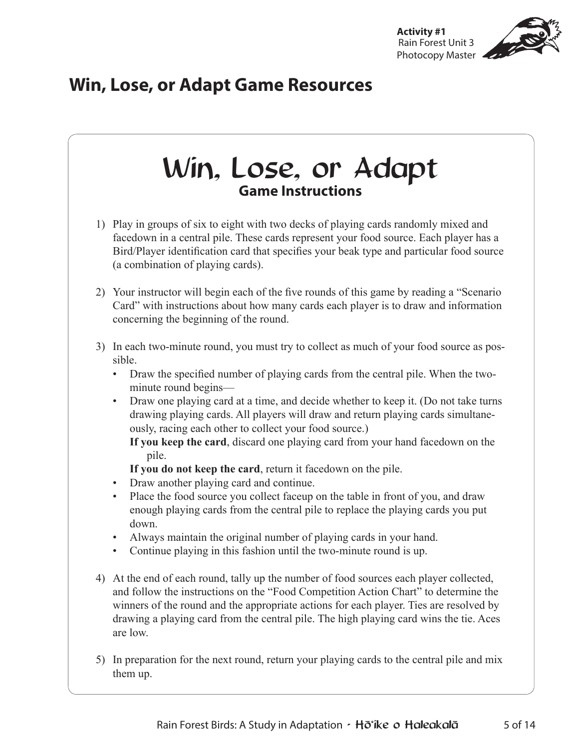

## **Win, Lose, or Adapt Game Resources**

# Win, Lose, or Adapt **Game Instructions**

- 1) Play in groups of six to eight with two decks of playing cards randomly mixed and facedown in a central pile. These cards represent your food source. Each player has a Bird/Player identification card that specifies your beak type and particular food source (a combination of playing cards).
- 2) Your instructor will begin each of the five rounds of this game by reading a "Scenario Card" with instructions about how many cards each player is to draw and information concerning the beginning of the round.
- 3) In each two-minute round, you must try to collect as much of your food source as possible.
	- Draw the specified number of playing cards from the central pile. When the twominute round begins—
	- Draw one playing card at a time, and decide whether to keep it. (Do not take turns drawing playing cards. All players will draw and return playing cards simultaneously, racing each other to collect your food source.)

**If you keep the card**, discard one playing card from your hand facedown on the pile.

**If you do not keep the card**, return it facedown on the pile.

- Draw another playing card and continue.
- Place the food source you collect faceup on the table in front of you, and draw enough playing cards from the central pile to replace the playing cards you put down.
- Always maintain the original number of playing cards in your hand.
- Continue playing in this fashion until the two-minute round is up.
- 4) At the end of each round, tally up the number of food sources each player collected, and follow the instructions on the "Food Competition Action Chart" to determine the winners of the round and the appropriate actions for each player. Ties are resolved by drawing a playing card from the central pile. The high playing card wins the tie. Aces are low.
- 5) In preparation for the next round, return your playing cards to the central pile and mix them up.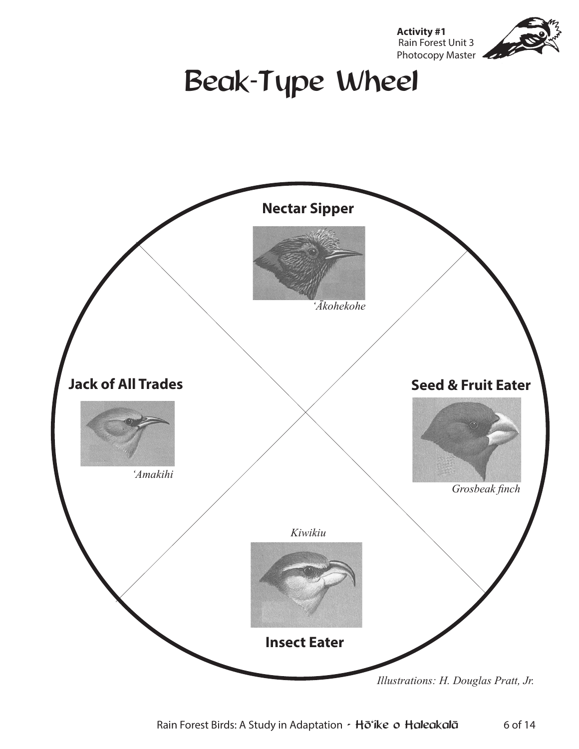

Beak-Type Wheel

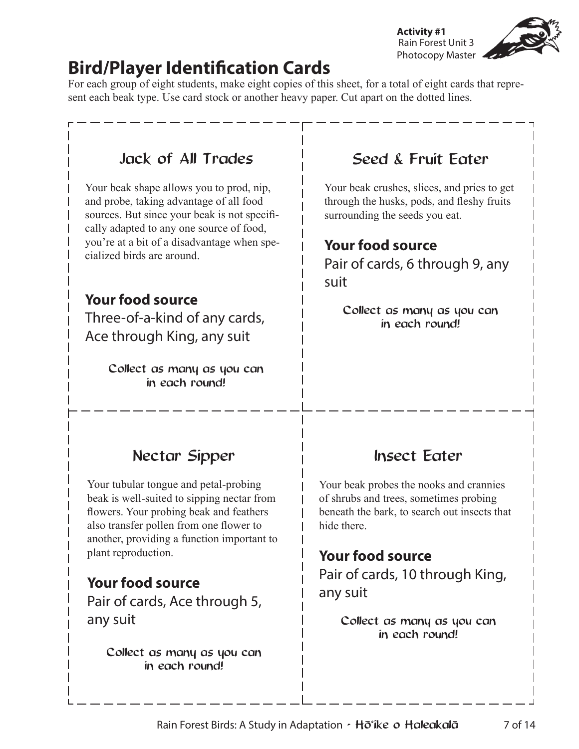**Activity #1** Rain Forest Unit 3 Photocopy Master

## **Bird/Player Identification Cards**

For each group of eight students, make eight copies of this sheet, for a total of eight cards that represent each beak type. Use card stock or another heavy paper. Cut apart on the dotted lines.

#### Jack of All Trades Your beak shape allows you to prod, nip, and probe, taking advantage of all food sources. But since your beak is not specifically adapted to any one source of food, you're at a bit of a disadvantage when specialized birds are around. **Your food source** Three-of-a-kind of any cards, Ace through King, any suit Collect as many as you can in each round! Nectar Sipper Your tubular tongue and petal-probing beak is well-suited to sipping nectar from flowers. Your probing beak and feathers also transfer pollen from one flower to another, providing a function important to plant reproduction. **Your food source** Pair of cards, Ace through 5, any suit Collect as many as you can in each round! Insect Eater Your beak probes the nooks and crannies of shrubs and trees, sometimes probing beneath the bark, to search out insects that hide there. **Your food source** Pair of cards, 10 through King, any suit Collect as many as you can in each round! Seed & Fruit Eater Your beak crushes, slices, and pries to get through the husks, pods, and fleshy fruits surrounding the seeds you eat. **Your food source** Pair of cards, 6 through 9, any suit Collect as many as you can in each round!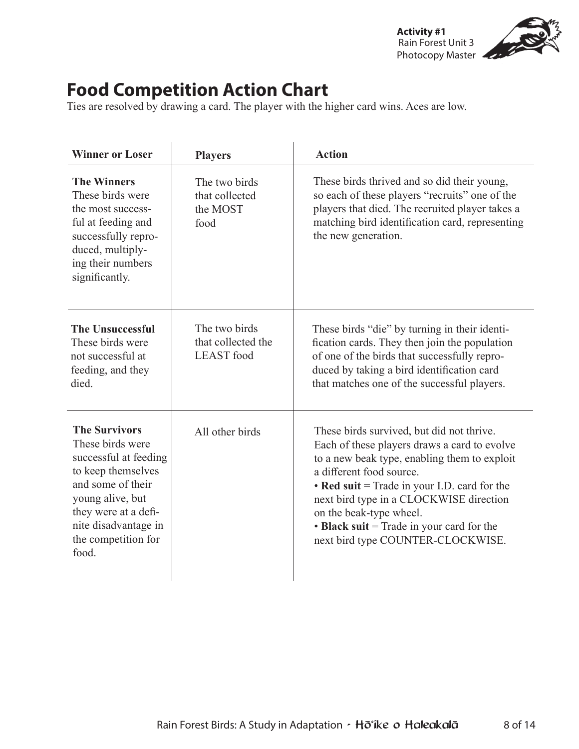**Activity #1** Rain Forest Unit 3 Photocopy Master

## **Food Competition Action Chart**

Ties are resolved by drawing a card. The player with the higher card wins. Aces are low.

| <b>Winner or Loser</b>                                                                                                                                                                                           | <b>Players</b>                                           | <b>Action</b>                                                                                                                                                                                                                                                                                                                                                                       |
|------------------------------------------------------------------------------------------------------------------------------------------------------------------------------------------------------------------|----------------------------------------------------------|-------------------------------------------------------------------------------------------------------------------------------------------------------------------------------------------------------------------------------------------------------------------------------------------------------------------------------------------------------------------------------------|
| <b>The Winners</b><br>These birds were<br>the most success-<br>ful at feeding and<br>successfully repro-<br>duced, multiply-<br>ing their numbers<br>significantly.                                              | The two birds<br>that collected<br>the MOST<br>food      | These birds thrived and so did their young,<br>so each of these players "recruits" one of the<br>players that died. The recruited player takes a<br>matching bird identification card, representing<br>the new generation.                                                                                                                                                          |
| <b>The Unsuccessful</b><br>These birds were<br>not successful at<br>feeding, and they<br>died.                                                                                                                   | The two birds<br>that collected the<br><b>LEAST</b> food | These birds "die" by turning in their identi-<br>fication cards. They then join the population<br>of one of the birds that successfully repro-<br>duced by taking a bird identification card<br>that matches one of the successful players.                                                                                                                                         |
| <b>The Survivors</b><br>These birds were<br>successful at feeding<br>to keep themselves<br>and some of their<br>young alive, but<br>they were at a defi-<br>nite disadvantage in<br>the competition for<br>food. | All other birds                                          | These birds survived, but did not thrive.<br>Each of these players draws a card to evolve<br>to a new beak type, enabling them to exploit<br>a different food source.<br>• Red suit = Trade in your I.D. card for the<br>next bird type in a CLOCKWISE direction<br>on the beak-type wheel.<br>$\cdot$ Black suit = Trade in your card for the<br>next bird type COUNTER-CLOCKWISE. |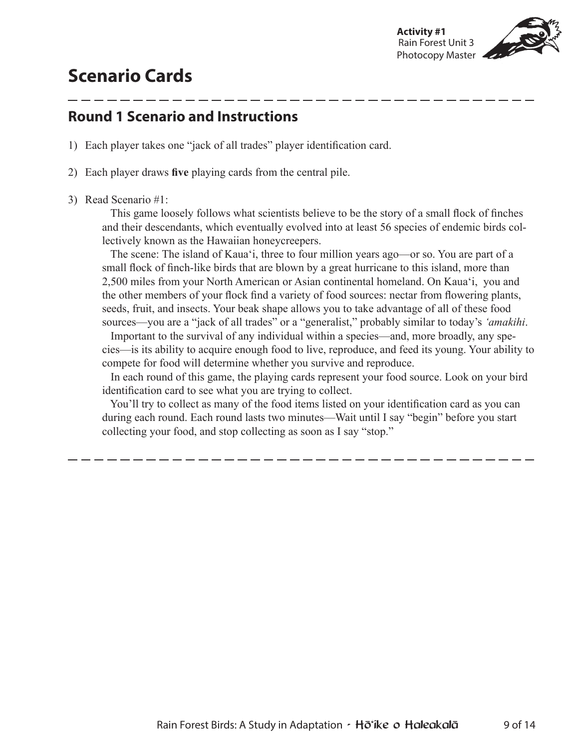

## **Scenario Cards**

## **Round 1 Scenario and Instructions**

- 1) Each player takes one "jack of all trades" player identification card.
- 2) Each player draws **five** playing cards from the central pile.
- 3) Read Scenario #1:

 This game loosely follows what scientists believe to be the story of a small flock of finches and their descendants, which eventually evolved into at least 56 species of endemic birds collectively known as the Hawaiian honeycreepers.

 The scene: The island of Kauaʻi, three to four million years ago—or so. You are part of a small flock of finch-like birds that are blown by a great hurricane to this island, more than 2,500 miles from your North American or Asian continental homeland. On Kauaʻi, you and the other members of your flock find a variety of food sources: nectar from flowering plants, seeds, fruit, and insects. Your beak shape allows you to take advantage of all of these food sources—you are a "jack of all trades" or a "generalist," probably similar to today's *ʻamakihi*.

 Important to the survival of any individual within a species—and, more broadly, any species—is its ability to acquire enough food to live, reproduce, and feed its young. Your ability to compete for food will determine whether you survive and reproduce.

 In each round of this game, the playing cards represent your food source. Look on your bird identification card to see what you are trying to collect.

 You'll try to collect as many of the food items listed on your identification card as you can during each round. Each round lasts two minutes—Wait until I say "begin" before you start collecting your food, and stop collecting as soon as I say "stop."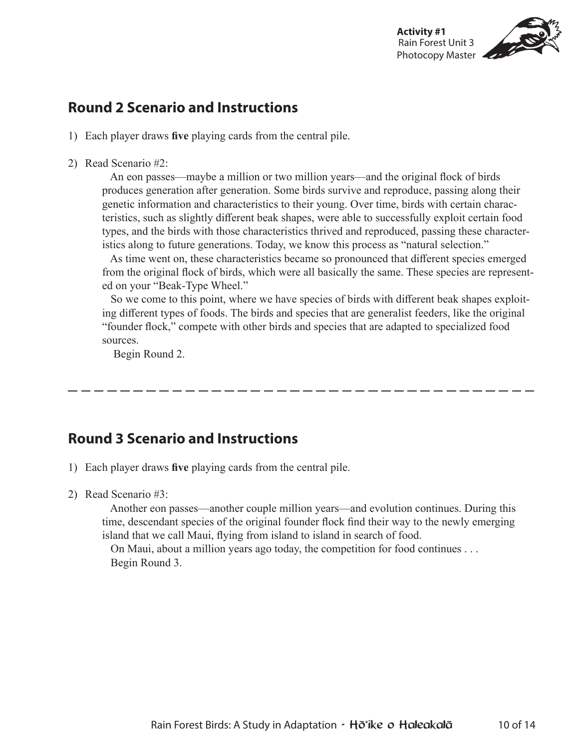

## **Round 2 Scenario and Instructions**

- 1) Each player draws **five** playing cards from the central pile.
- 2) Read Scenario #2:

 An eon passes—maybe a million or two million years—and the original flock of birds produces generation after generation. Some birds survive and reproduce, passing along their genetic information and characteristics to their young. Over time, birds with certain characteristics, such as slightly different beak shapes, were able to successfully exploit certain food types, and the birds with those characteristics thrived and reproduced, passing these characteristics along to future generations. Today, we know this process as "natural selection."

 As time went on, these characteristics became so pronounced that different species emerged from the original flock of birds, which were all basically the same. These species are represented on your "Beak-Type Wheel."

 So we come to this point, where we have species of birds with different beak shapes exploiting different types of foods. The birds and species that are generalist feeders, like the original "founder flock," compete with other birds and species that are adapted to specialized food sources.

Begin Round 2.

## **Round 3 Scenario and Instructions**

- 1) Each player draws **five** playing cards from the central pile.
- 2) Read Scenario #3:

 Another eon passes—another couple million years—and evolution continues. During this time, descendant species of the original founder flock find their way to the newly emerging island that we call Maui, flying from island to island in search of food.

 On Maui, about a million years ago today, the competition for food continues . . . Begin Round 3.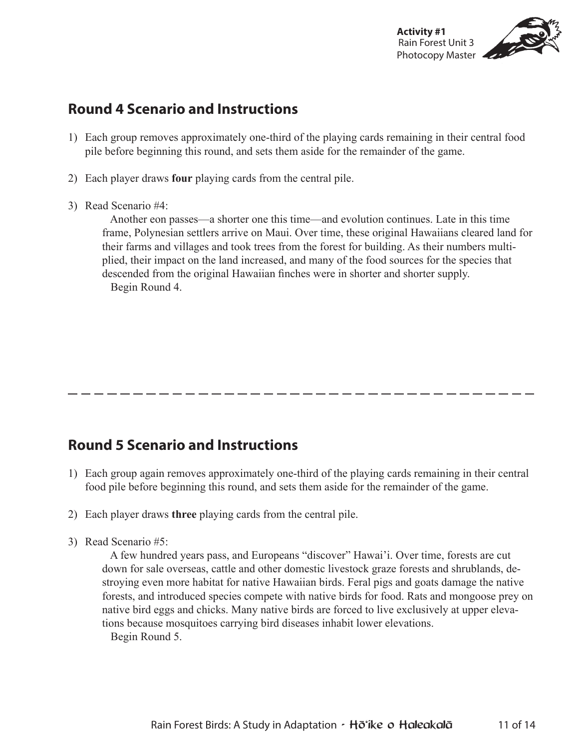

## **Round 4 Scenario and Instructions**

- 1) Each group removes approximately one-third of the playing cards remaining in their central food pile before beginning this round, and sets them aside for the remainder of the game.
- 2) Each player draws **four** playing cards from the central pile.
- 3) Read Scenario #4:

 Another eon passes—a shorter one this time—and evolution continues. Late in this time frame, Polynesian settlers arrive on Maui. Over time, these original Hawaiians cleared land for their farms and villages and took trees from the forest for building. As their numbers multiplied, their impact on the land increased, and many of the food sources for the species that descended from the original Hawaiian finches were in shorter and shorter supply. Begin Round 4.

## **Round 5 Scenario and Instructions**

- 1) Each group again removes approximately one-third of the playing cards remaining in their central food pile before beginning this round, and sets them aside for the remainder of the game.
- 2) Each player draws **three** playing cards from the central pile.
- 3) Read Scenario #5:

 A few hundred years pass, and Europeans "discover" Hawai'i. Over time, forests are cut down for sale overseas, cattle and other domestic livestock graze forests and shrublands, destroying even more habitat for native Hawaiian birds. Feral pigs and goats damage the native forests, and introduced species compete with native birds for food. Rats and mongoose prey on native bird eggs and chicks. Many native birds are forced to live exclusively at upper elevations because mosquitoes carrying bird diseases inhabit lower elevations.

Begin Round 5.